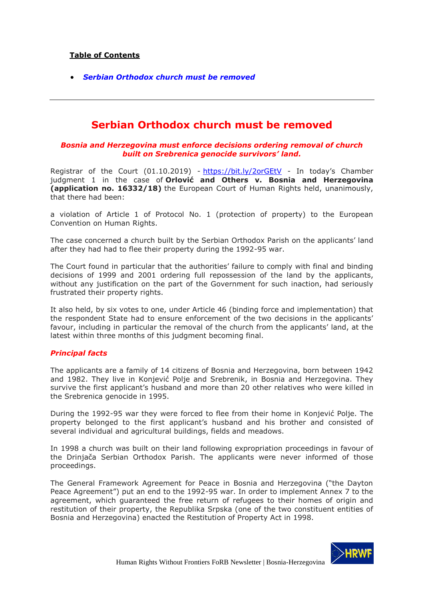## **Table of Contents**

*[Serbian Orthodox church must be removed](#page-0-0)*

# **Serbian Orthodox church must be removed**

### <span id="page-0-0"></span>*Bosnia and Herzegovina must enforce decisions ordering removal of church built on Srebrenica genocide survivors' land.*

Registrar of the Court (01.10.2019) - <https://bit.ly/2orGEtV> - In today's Chamber judgment 1 in the case of **Orlović and Others v. Bosnia and Herzegovina (application no. 16332/18)** the European Court of Human Rights held, unanimously, that there had been:

a violation of Article 1 of Protocol No. 1 (protection of property) to the European Convention on Human Rights.

The case concerned a church built by the Serbian Orthodox Parish on the applicants' land after they had had to flee their property during the 1992-95 war.

The Court found in particular that the authorities' failure to comply with final and binding decisions of 1999 and 2001 ordering full repossession of the land by the applicants, without any justification on the part of the Government for such inaction, had seriously frustrated their property rights.

It also held, by six votes to one, under Article 46 (binding force and implementation) that the respondent State had to ensure enforcement of the two decisions in the applicants' favour, including in particular the removal of the church from the applicants' land, at the latest within three months of this judgment becoming final.

### *Principal facts*

The applicants are a family of 14 citizens of Bosnia and Herzegovina, born between 1942 and 1982. They live in Konjević Polje and Srebrenik, in Bosnia and Herzegovina. They survive the first applicant's husband and more than 20 other relatives who were killed in the Srebrenica genocide in 1995.

During the 1992-95 war they were forced to flee from their home in Konjević Polje. The property belonged to the first applicant's husband and his brother and consisted of several individual and agricultural buildings, fields and meadows.

In 1998 a church was built on their land following expropriation proceedings in favour of the Drinjača Serbian Orthodox Parish. The applicants were never informed of those proceedings.

The General Framework Agreement for Peace in Bosnia and Herzegovina ("the Dayton Peace Agreement") put an end to the 1992-95 war. In order to implement Annex 7 to the agreement, which guaranteed the free return of refugees to their homes of origin and restitution of their property, the Republika Srpska (one of the two constituent entities of Bosnia and Herzegovina) enacted the Restitution of Property Act in 1998.

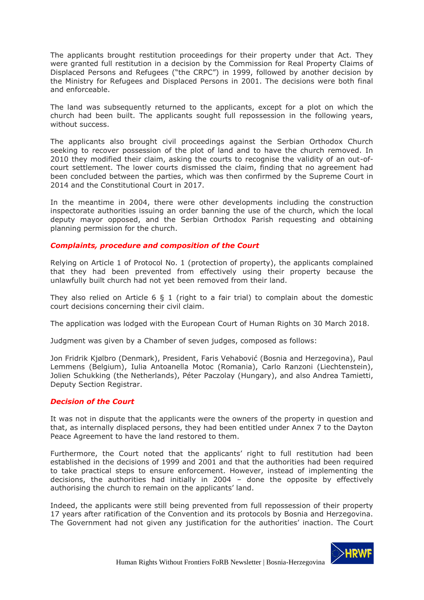The applicants brought restitution proceedings for their property under that Act. They were granted full restitution in a decision by the Commission for Real Property Claims of Displaced Persons and Refugees ("the CRPC") in 1999, followed by another decision by the Ministry for Refugees and Displaced Persons in 2001. The decisions were both final and enforceable.

The land was subsequently returned to the applicants, except for a plot on which the church had been built. The applicants sought full repossession in the following years, without success.

The applicants also brought civil proceedings against the Serbian Orthodox Church seeking to recover possession of the plot of land and to have the church removed. In 2010 they modified their claim, asking the courts to recognise the validity of an out-ofcourt settlement. The lower courts dismissed the claim, finding that no agreement had been concluded between the parties, which was then confirmed by the Supreme Court in 2014 and the Constitutional Court in 2017.

In the meantime in 2004, there were other developments including the construction inspectorate authorities issuing an order banning the use of the church, which the local deputy mayor opposed, and the Serbian Orthodox Parish requesting and obtaining planning permission for the church.

### *Complaints, procedure and composition of the Court*

Relying on Article 1 of Protocol No. 1 (protection of property), the applicants complained that they had been prevented from effectively using their property because the unlawfully built church had not yet been removed from their land.

They also relied on Article 6 § 1 (right to a fair trial) to complain about the domestic court decisions concerning their civil claim.

The application was lodged with the European Court of Human Rights on 30 March 2018.

Judgment was given by a Chamber of seven judges, composed as follows:

Jon Fridrik Kjølbro (Denmark), President, Faris Vehabović (Bosnia and Herzegovina), Paul Lemmens (Belgium), Iulia Antoanella Motoc (Romania), Carlo Ranzoni (Liechtenstein), Jolien Schukking (the Netherlands), Péter Paczolay (Hungary), and also Andrea Tamietti, Deputy Section Registrar.

### *Decision of the Court*

It was not in dispute that the applicants were the owners of the property in question and that, as internally displaced persons, they had been entitled under Annex 7 to the Dayton Peace Agreement to have the land restored to them.

Furthermore, the Court noted that the applicants' right to full restitution had been established in the decisions of 1999 and 2001 and that the authorities had been required to take practical steps to ensure enforcement. However, instead of implementing the decisions, the authorities had initially in 2004 – done the opposite by effectively authorising the church to remain on the applicants' land.

Indeed, the applicants were still being prevented from full repossession of their property 17 years after ratification of the Convention and its protocols by Bosnia and Herzegovina. The Government had not given any justification for the authorities' inaction. The Court